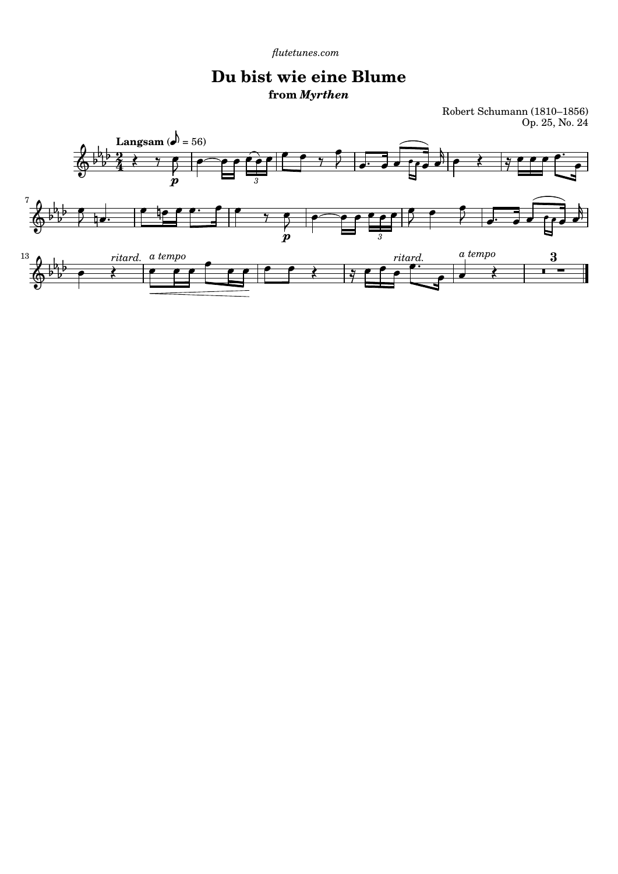*[flutetunes.com](http://www.flutetunes.com)* 

## **Du bist wie eine Blume from** *Myrthen*

Robert Schumann (1810–1856) Op. 25, No. 24